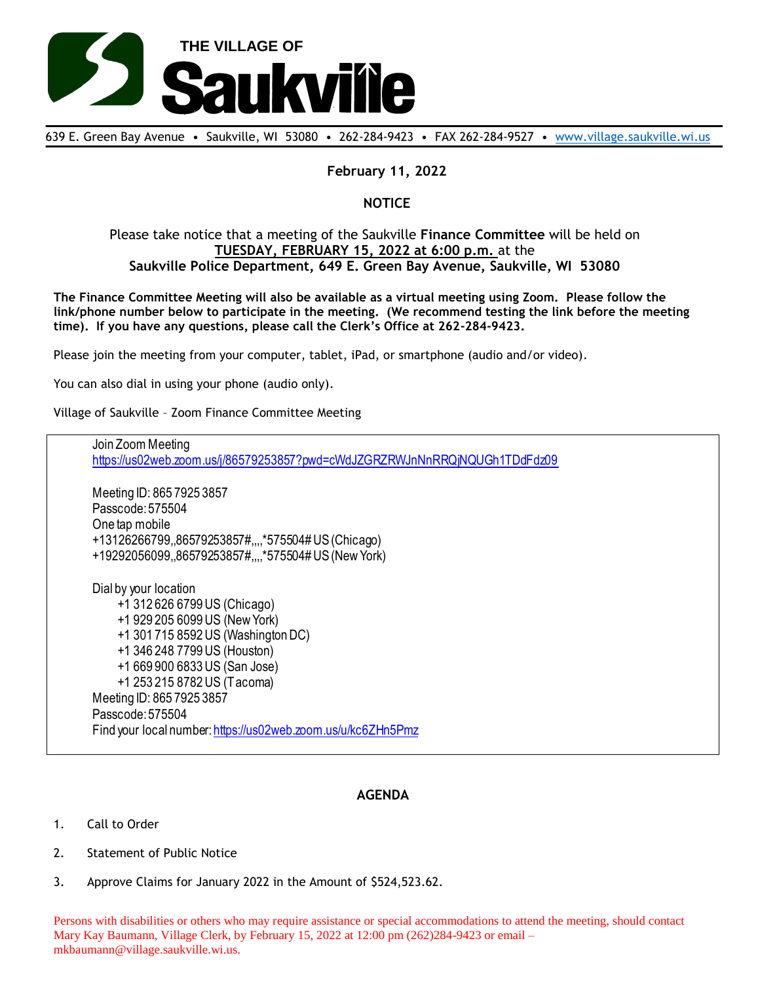

639 E. Green Bay Avenue • Saukville, WI 53080 • 262-284-9423 • FAX 262-284-9527 • [www.village.saukville.wi.us](http://www.village.saukville.wi.us/)

## **February 11, 2022**

## **NOTICE**

## Please take notice that a meeting of the Saukville **Finance Committee** will be held on **TUESDAY, FEBRUARY 15, 2022 at 6:00 p.m.** at the **Saukville Police Department, 649 E. Green Bay Avenue, Saukville, WI 53080**

**The Finance Committee Meeting will also be available as a virtual meeting using Zoom. Please follow the link/phone number below to participate in the meeting. (We recommend testing the link before the meeting time). If you have any questions, please call the Clerk's Office at 262-284-9423.**

Please join the meeting from your computer, tablet, iPad, or smartphone (audio and/or video).

You can also dial in using your phone (audio only).

Village of Saukville – Zoom Finance Committee Meeting

Join Zoom Meeting https://us02web.zoom.us/j/86579253857?pwd=cWdJZGRZRWJnNnRRQjNQUGh1TDdFdz09 Meeting ID: 865 7925 3857 Passcode: 575504 One tap mobile +13126266799,,86579253857#,,,,\*575504# US (Chicago) +19292056099,,86579253857#,,,,\*575504# US (New York) Dial by your location +1 312 626 6799 US (Chicago) +1 929 205 6099 US (New York) +1 301 715 8592 US (Washington DC) +1 346 248 7799 US (Houston) +1 669 900 6833 US (San Jose) +1 253 215 8782 US (Tacoma) Meeting ID: 865 7925 3857 Passcode: 575504 Find your local number: https://us02web.zoom.us/u/kc6ZHn5Pmz

## **AGENDA**

- 1. Call to Order
- 2. Statement of Public Notice
- 3. Approve Claims for January 2022 in the Amount of \$524,523.62.

Persons with disabilities or others who may require assistance or special accommodations to attend the meeting, should contact Mary Kay Baumann, Village Clerk, by February 15, 2022 at 12:00 pm (262)284-9423 or email – mkbaumann@village.saukville.wi.us.